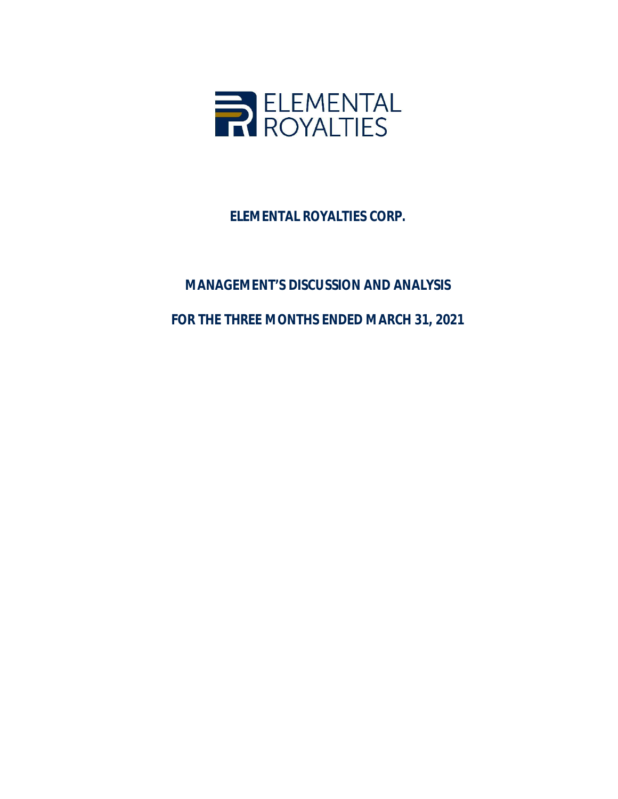

**ELEMENTAL ROYALTIES CORP.**

# **MANAGEMENT'S DISCUSSION AND ANALYSIS FOR THE THREE MONTHS ENDED MARCH 31, 2021**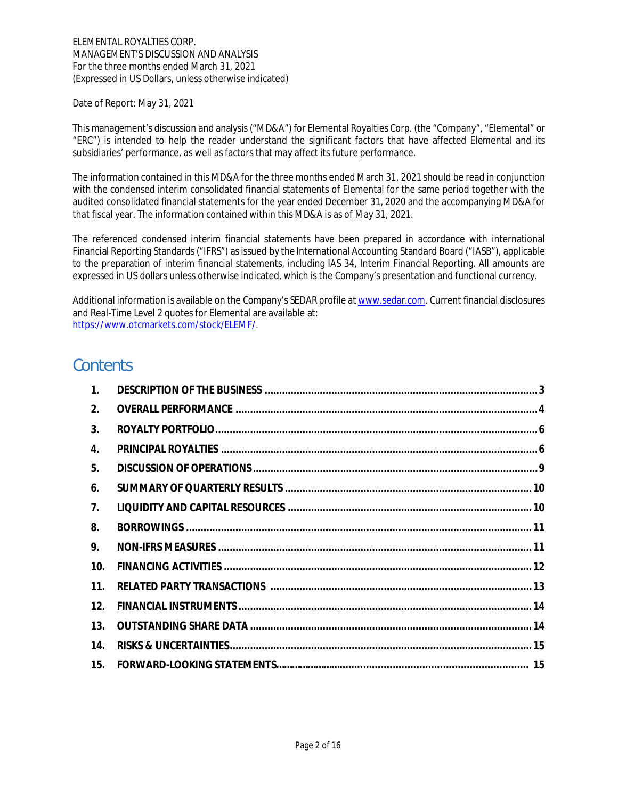Date of Report: May 31, 2021

This management's discussion and analysis ("MD&A") for Elemental Royalties Corp. (the "Company", "Elemental" or "ERC") is intended to help the reader understand the significant factors that have affected Elemental and its subsidiaries' performance, as well as factors that may affect its future performance.

The information contained in this MD&A for the three months ended March 31, 2021 should be read in conjunction with the condensed interim consolidated financial statements of Elemental for the same period together with the audited consolidated financial statements for the year ended December 31, 2020 and the accompanying MD&A for that fiscal year. The information contained within this MD&A is as of May 31, 2021.

The referenced condensed interim financial statements have been prepared in accordance with international Financial Reporting Standards ("IFRS") as issued by the International Accounting Standard Board ("IASB"), applicable to the preparation of interim financial statements, including IAS 34, Interim Financial Reporting. All amounts are expressed in US dollars unless otherwise indicated, which is the Company's presentation and functional currency.

Additional information is available on the Company's SEDAR profile at www.sedar.com. Current financial disclosures and Real-Time Level 2 quotes for Elemental are available at: https://www.otcmarkets.com/stock/ELEMF/.

# **Contents**

| 1.  |  |
|-----|--|
| 2.  |  |
| 3.  |  |
| 4.  |  |
| 5.  |  |
| 6.  |  |
| 7.  |  |
| 8.  |  |
| 9.  |  |
| 10. |  |
| 11. |  |
| 12. |  |
| 13. |  |
| 14. |  |
| 15. |  |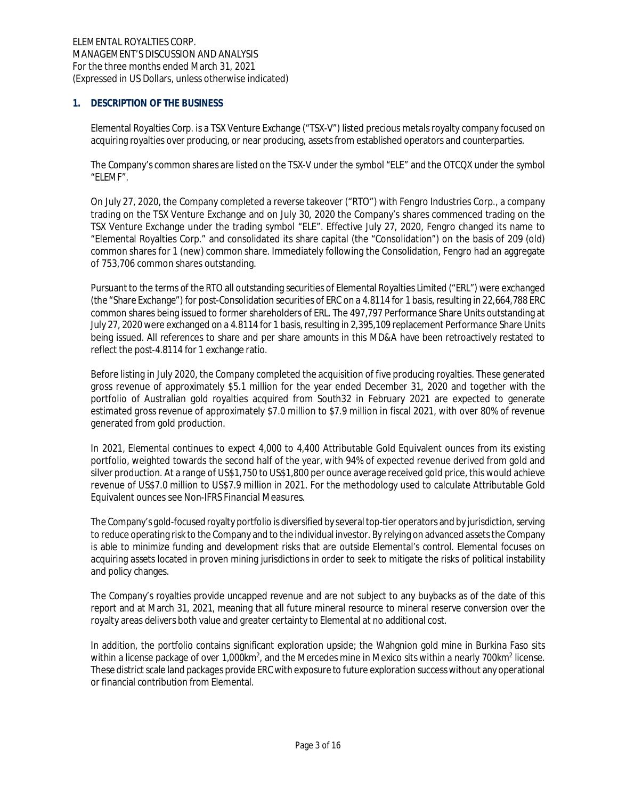# **1. DESCRIPTION OF THE BUSINESS**

Elemental Royalties Corp. is a TSX Venture Exchange ("TSX-V") listed precious metals royalty company focused on acquiring royalties over producing, or near producing, assets from established operators and counterparties.

The Company's common shares are listed on the TSX-V under the symbol "ELE" and the OTCQX under the symbol "ELEMF".

On July 27, 2020, the Company completed a reverse takeover ("RTO") with Fengro Industries Corp., a company trading on the TSX Venture Exchange and on July 30, 2020 the Company's shares commenced trading on the TSX Venture Exchange under the trading symbol "ELE". Effective July 27, 2020, Fengro changed its name to "Elemental Royalties Corp." and consolidated its share capital (the "Consolidation") on the basis of 209 (old) common shares for 1 (new) common share. Immediately following the Consolidation, Fengro had an aggregate of 753,706 common shares outstanding.

Pursuant to the terms of the RTO all outstanding securities of Elemental Royalties Limited ("ERL") were exchanged (the "Share Exchange") for post-Consolidation securities of ERC on a 4.8114 for 1 basis, resulting in 22,664,788 ERC common shares being issued to former shareholders of ERL. The 497,797 Performance Share Units outstanding at July 27, 2020 were exchanged on a 4.8114 for 1 basis, resulting in 2,395,109 replacement Performance Share Units being issued. All references to share and per share amounts in this MD&A have been retroactively restated to reflect the post-4.8114 for 1 exchange ratio.

Before listing in July 2020, the Company completed the acquisition of five producing royalties. These generated gross revenue of approximately \$5.1 million for the year ended December 31, 2020 and together with the portfolio of Australian gold royalties acquired from South32 in February 2021 are expected to generate estimated gross revenue of approximately \$7.0 million to \$7.9 million in fiscal 2021, with over 80% of revenue generated from gold production.

In 2021, Elemental continues to expect 4,000 to 4,400 Attributable Gold Equivalent ounces from its existing portfolio, weighted towards the second half of the year, with 94% of expected revenue derived from gold and silver production. At a range of US\$1,750 to US\$1,800 per ounce average received gold price, this would achieve revenue of US\$7.0 million to US\$7.9 million in 2021. For the methodology used to calculate Attributable Gold Equivalent ounces see Non-IFRS Financial Measures.

The Company's gold-focused royalty portfolio is diversified by several top-tier operators and by jurisdiction, serving to reduce operating risk to the Company and to the individual investor. By relying on advanced assets the Company is able to minimize funding and development risks that are outside Elemental's control. Elemental focuses on acquiring assets located in proven mining jurisdictions in order to seek to mitigate the risks of political instability and policy changes.

The Company's royalties provide uncapped revenue and are not subject to any buybacks as of the date of this report and at March 31, 2021, meaning that all future mineral resource to mineral reserve conversion over the royalty areas delivers both value and greater certainty to Elemental at no additional cost.

In addition, the portfolio contains significant exploration upside; the Wahgnion gold mine in Burkina Faso sits within a license package of over 1,000km<sup>2</sup>, and the Mercedes mine in Mexico sits within a nearly 700km<sup>2</sup> license. These district scale land packages provide ERC with exposure to future exploration success without any operational or financial contribution from Elemental.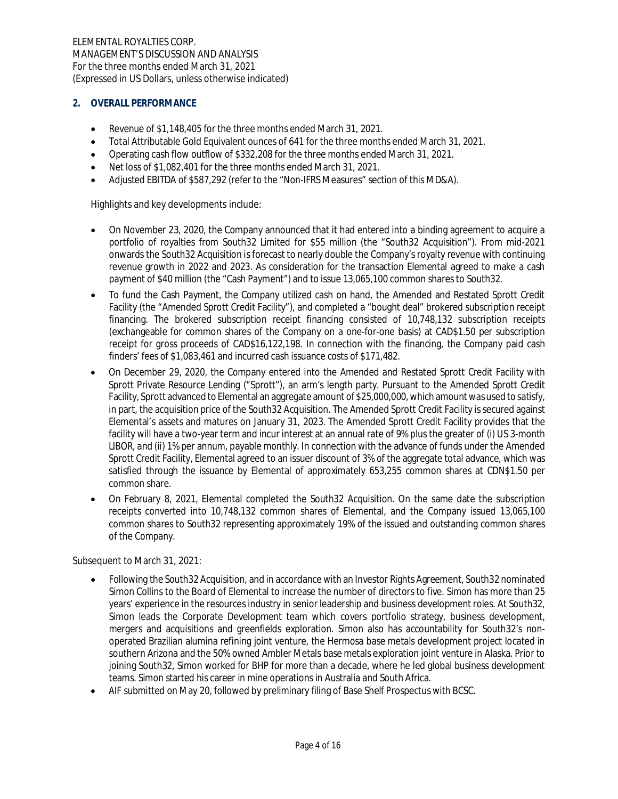# **2. OVERALL PERFORMANCE**

- · Revenue of \$1,148,405 for the three months ended March 31, 2021.
- · Total Attributable Gold Equivalent ounces of 641 for the three months ended March 31, 2021.
- · Operating cash flow outflow of \$332,208 for the three months ended March 31, 2021.
- Net loss of \$1,082,401 for the three months ended March 31, 2021.
- · Adjusted EBITDA of \$587,292 (refer to the "Non-IFRS Measures" section of this MD&A).

Highlights and key developments include:

- · On November 23, 2020, the Company announced that it had entered into a binding agreement to acquire a portfolio of royalties from South32 Limited for \$55 million (the "South32 Acquisition"). From mid-2021 onwards the South32 Acquisition is forecast to nearly double the Company's royalty revenue with continuing revenue growth in 2022 and 2023. As consideration for the transaction Elemental agreed to make a cash payment of \$40 million (the "Cash Payment") and to issue 13,065,100 common shares to South32.
- To fund the Cash Payment, the Company utilized cash on hand, the Amended and Restated Sprott Credit Facility (the "Amended Sprott Credit Facility"), and completed a "bought deal" brokered subscription receipt financing. The brokered subscription receipt financing consisted of 10,748,132 subscription receipts (exchangeable for common shares of the Company on a one-for-one basis) at CAD\$1.50 per subscription receipt for gross proceeds of CAD\$16,122,198. In connection with the financing, the Company paid cash finders' fees of \$1,083,461 and incurred cash issuance costs of \$171,482.
- · On December 29, 2020, the Company entered into the Amended and Restated Sprott Credit Facility with Sprott Private Resource Lending ("Sprott"), an arm's length party. Pursuant to the Amended Sprott Credit Facility, Sprott advanced to Elemental an aggregate amount of \$25,000,000, which amount was used to satisfy, in part, the acquisition price of the South32 Acquisition. The Amended Sprott Credit Facility is secured against Elemental's assets and matures on January 31, 2023. The Amended Sprott Credit Facility provides that the facility will have a two-year term and incur interest at an annual rate of 9% plus the greater of (i) US 3-month LIBOR, and (ii) 1% per annum, payable monthly. In connection with the advance of funds under the Amended Sprott Credit Facility, Elemental agreed to an issuer discount of 3% of the aggregate total advance, which was satisfied through the issuance by Elemental of approximately 653,255 common shares at CDN\$1.50 per common share.
- · On February 8, 2021, Elemental completed the South32 Acquisition. On the same date the subscription receipts converted into 10,748,132 common shares of Elemental, and the Company issued 13,065,100 common shares to South32 representing approximately 19% of the issued and outstanding common shares of the Company.

Subsequent to March 31, 2021:

- · Following the South32 Acquisition, and in accordance with an Investor Rights Agreement, South32 nominated Simon Collins to the Board of Elemental to increase the number of directors to five. Simon has more than 25 years' experience in the resources industry in senior leadership and business development roles. At South32, Simon leads the Corporate Development team which covers portfolio strategy, business development, mergers and acquisitions and greenfields exploration. Simon also has accountability for South32's nonoperated Brazilian alumina refining joint venture, the Hermosa base metals development project located in southern Arizona and the 50% owned Ambler Metals base metals exploration joint venture in Alaska. Prior to joining South32, Simon worked for BHP for more than a decade, where he led global business development teams. Simon started his career in mine operations in Australia and South Africa.
- · AIF submitted on May 20, followed by preliminary filing of Base Shelf Prospectus with BCSC.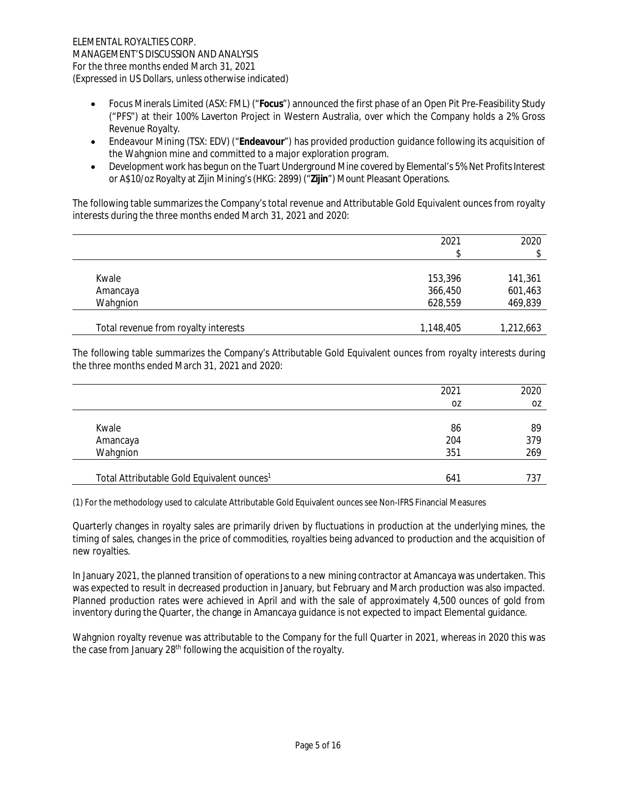- · Focus Minerals Limited (ASX: FML) ("**Focus**") announced the first phase of an Open Pit Pre-Feasibility Study ("PFS") at their 100% Laverton Project in Western Australia, over which the Company holds a 2% Gross Revenue Royalty.
- · Endeavour Mining (TSX: EDV) ("**Endeavour**") has provided production guidance following its acquisition of the Wahgnion mine and committed to a major exploration program.
- · Development work has begun on the Tuart Underground Mine covered by Elemental's 5% Net Profits Interest or A\$10/oz Royalty at Zijin Mining's (HKG: 2899) ("**Zijin**") Mount Pleasant Operations.

The following table summarizes the Company's total revenue and Attributable Gold Equivalent ounces from royalty interests during the three months ended March 31, 2021 and 2020:

|                                      | 2021<br>\$ | 2020<br>\$ |
|--------------------------------------|------------|------------|
| Kwale                                | 153,396    | 141,361    |
| Amancaya                             | 366,450    | 601,463    |
| Wahgnion                             | 628,559    | 469,839    |
| Total revenue from royalty interests | 1,148,405  | 1,212,663  |

The following table summarizes the Company's Attributable Gold Equivalent ounces from royalty interests during the three months ended March 31, 2021 and 2020:

|                                                        | 2021 | 2020 |
|--------------------------------------------------------|------|------|
|                                                        | 0Z   | 0Z   |
|                                                        |      |      |
| Kwale                                                  | 86   | 89   |
| Amancaya                                               | 204  | 379  |
| Wahgnion                                               | 351  | 269  |
|                                                        |      |      |
| Total Attributable Gold Equivalent ounces <sup>1</sup> | 641  | 737  |

(1) For the methodology used to calculate Attributable Gold Equivalent ounces see Non-IFRS Financial Measures

Quarterly changes in royalty sales are primarily driven by fluctuations in production at the underlying mines, the timing of sales, changes in the price of commodities, royalties being advanced to production and the acquisition of new royalties.

In January 2021, the planned transition of operations to a new mining contractor at Amancaya was undertaken. This was expected to result in decreased production in January, but February and March production was also impacted. Planned production rates were achieved in April and with the sale of approximately 4,500 ounces of gold from inventory during the Quarter, the change in Amancaya guidance is not expected to impact Elemental guidance.

Wahgnion royalty revenue was attributable to the Company for the full Quarter in 2021, whereas in 2020 this was the case from January  $28<sup>th</sup>$  following the acquisition of the royalty.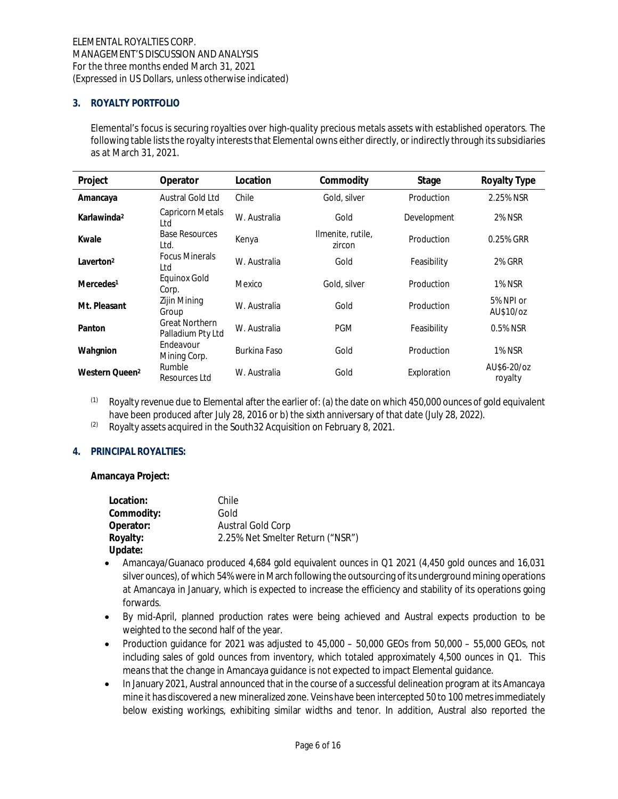# **3. ROYALTY PORTFOLIO**

Elemental's focus is securing royalties over high-quality precious metals assets with established operators. The following table lists the royalty interests that Elemental owns either directly, or indirectly through its subsidiaries as at March 31, 2021.

| Project                    | Operator                                   | Location     | Commodity                   | Stage       | Royalty Type           |
|----------------------------|--------------------------------------------|--------------|-----------------------------|-------------|------------------------|
| Amancaya                   | Austral Gold Ltd                           | Chile        | Gold, silver                | Production  | 2.25% NSR              |
| Karlawinda <sup>2</sup>    | Capricorn Metals<br>Ltd                    | W. Australia | Gold                        | Development | <b>2% NSR</b>          |
| Kwale                      | <b>Base Resources</b><br>Ltd.              | Kenya        | Ilmenite, rutile,<br>zircon | Production  | 0.25% GRR              |
| Laverton <sup>2</sup>      | <b>Focus Minerals</b><br>Ltd               | W. Australia | Gold                        | Feasibility | 2% GRR                 |
| Mercedes <sup>1</sup>      | Equinox Gold<br>Corp.                      | Mexico       | Gold, silver                | Production  | <b>1% NSR</b>          |
| Mt. Pleasant               | Zijin Mining<br>Group                      | W. Australia | Gold                        | Production  | 5% NPI or<br>AU\$10/oz |
| Panton                     | <b>Great Northern</b><br>Palladium Pty Ltd | W. Australia | <b>PGM</b>                  | Feasibility | 0.5% NSR               |
| Wahgnion                   | Endeavour<br>Mining Corp.                  | Burkina Faso | Gold                        | Production  | <b>1% NSR</b>          |
| Western Queen <sup>2</sup> | Rumble<br>Resources Ltd                    | W. Australia | Gold                        | Exploration | AU\$6-20/oz<br>royalty |

 $(1)$  Royalty revenue due to Elemental after the earlier of: (a) the date on which 450,000 ounces of gold equivalent have been produced after July 28, 2016 or b) the sixth anniversary of that date (July 28, 2022).

 $(2)$  Royalty assets acquired in the South32 Acquisition on February 8, 2021.

# **4. PRINCIPAL ROYALTIES:**

**Amancaya Project:**

| Location:  | Chile                            |
|------------|----------------------------------|
| Commodity: | Gold                             |
| Operator:  | Austral Gold Corp                |
| Royalty:   | 2.25% Net Smelter Return ("NSR") |
| Update:    |                                  |

- · Amancaya/Guanaco produced 4,684 gold equivalent ounces in Q1 2021 (4,450 gold ounces and 16,031 silver ounces), of which 54% were in March following the outsourcing of its underground mining operations at Amancaya in January, which is expected to increase the efficiency and stability of its operations going forwards.
- · By mid-April, planned production rates were being achieved and Austral expects production to be weighted to the second half of the year.
- · Production guidance for 2021 was adjusted to 45,000 50,000 GEOs from 50,000 55,000 GEOs, not including sales of gold ounces from inventory, which totaled approximately 4,500 ounces in Q1. This means that the change in Amancaya guidance is not expected to impact Elemental guidance.
- · In January 2021, Austral announced that in the course of a successful delineation program at its Amancaya mine it has discovered a new mineralized zone. Veins have been intercepted 50 to 100 metres immediately below existing workings, exhibiting similar widths and tenor. In addition, Austral also reported the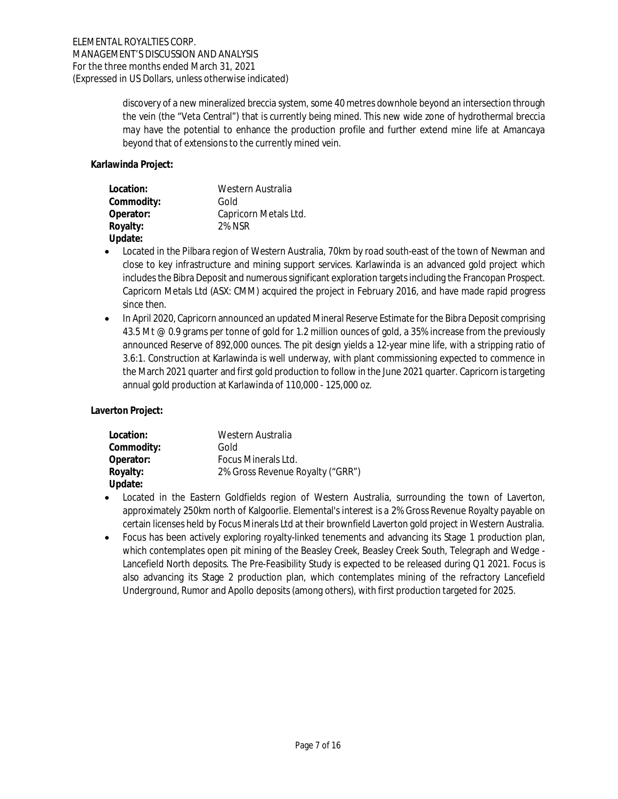discovery of a new mineralized breccia system, some 40 metres downhole beyond an intersection through the vein (the "Veta Central") that is currently being mined. This new wide zone of hydrothermal breccia may have the potential to enhance the production profile and further extend mine life at Amancaya beyond that of extensions to the currently mined vein.

**Karlawinda Project:**

| Location:  | Western Australia     |
|------------|-----------------------|
| Commodity: | Gold                  |
| Operator:  | Capricorn Metals Ltd. |
| Royalty:   | 2% NSR                |
| Update:    |                       |

- · Located in the Pilbara region of Western Australia, 70km by road south-east of the town of Newman and close to key infrastructure and mining support services. Karlawinda is an advanced gold project which includes the Bibra Deposit and numerous significant exploration targets including the Francopan Prospect. Capricorn Metals Ltd (ASX: CMM) acquired the project in February 2016, and have made rapid progress since then.
- In April 2020, Capricorn announced an updated Mineral Reserve Estimate for the Bibra Deposit comprising 43.5 Mt @ 0.9 grams per tonne of gold for 1.2 million ounces of gold, a 35% increase from the previously announced Reserve of 892,000 ounces. The pit design yields a 12-year mine life, with a stripping ratio of 3.6:1. Construction at Karlawinda is well underway, with plant commissioning expected to commence in the March 2021 quarter and first gold production to follow in the June 2021 quarter. Capricorn is targeting annual gold production at Karlawinda of 110,000 - 125,000 oz.

**Laverton Project:**

| Location:  | Western Australia                |
|------------|----------------------------------|
| Commodity: | Gold                             |
| Operator:  | Focus Minerals Ltd.              |
| Royalty:   | 2% Gross Revenue Royalty ("GRR") |
| Update:    |                                  |

- · Located in the Eastern Goldfields region of Western Australia, surrounding the town of Laverton, approximately 250km north of Kalgoorlie. Elemental's interest is a 2% Gross Revenue Royalty payable on certain licenses held by Focus Minerals Ltd at their brownfield Laverton gold project in Western Australia.
- · Focus has been actively exploring royalty-linked tenements and advancing its Stage 1 production plan, which contemplates open pit mining of the Beasley Creek, Beasley Creek South, Telegraph and Wedge - Lancefield North deposits. The Pre-Feasibility Study is expected to be released during Q1 2021. Focus is also advancing its Stage 2 production plan, which contemplates mining of the refractory Lancefield Underground, Rumor and Apollo deposits (among others), with first production targeted for 2025.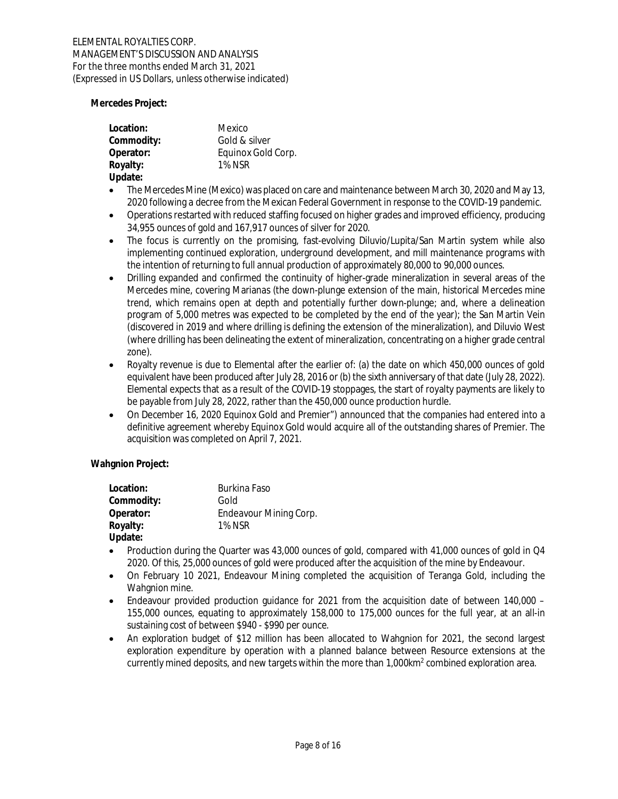**Mercedes Project:**

| Location:  | Mexico             |
|------------|--------------------|
| Commodity: | Gold & silver      |
| Operator:  | Equinox Gold Corp. |
| Royalty:   | 1% NSR             |
| Update:    |                    |

- · The Mercedes Mine (Mexico) was placed on care and maintenance between March 30, 2020 and May 13, 2020 following a decree from the Mexican Federal Government in response to the COVID-19 pandemic.
- · Operations restarted with reduced staffing focused on higher grades and improved efficiency, producing 34,955 ounces of gold and 167,917 ounces of silver for 2020.
- The focus is currently on the promising, fast-evolving Diluvio/Lupita/San Martin system while also implementing continued exploration, underground development, and mill maintenance programs with the intention of returning to full annual production of approximately 80,000 to 90,000 ounces.
- · Drilling expanded and confirmed the continuity of higher-grade mineralization in several areas of the Mercedes mine, covering Marianas (the down-plunge extension of the main, historical Mercedes mine trend, which remains open at depth and potentially further down-plunge; and, where a delineation program of 5,000 metres was expected to be completed by the end of the year); the San Martin Vein (discovered in 2019 and where drilling is defining the extension of the mineralization), and Diluvio West (where drilling has been delineating the extent of mineralization, concentrating on a higher grade central zone).
- · Royalty revenue is due to Elemental after the earlier of: (a) the date on which 450,000 ounces of gold equivalent have been produced after July 28, 2016 or (b) the sixth anniversary of that date (July 28, 2022). Elemental expects that as a result of the COVID-19 stoppages, the start of royalty payments are likely to be payable from July 28, 2022, rather than the 450,000 ounce production hurdle.
- · On December 16, 2020 Equinox Gold and Premier") announced that the companies had entered into a definitive agreement whereby Equinox Gold would acquire all of the outstanding shares of Premier. The acquisition was completed on April 7, 2021.

**Wahgnion Project:**

| Location:  | Burkina Faso           |
|------------|------------------------|
| Commodity: | Gold                   |
| Operator:  | Endeavour Mining Corp. |
| Royalty:   | <b>1% NSR</b>          |
| Update:    |                        |

- Production during the Quarter was 43,000 ounces of gold, compared with 41,000 ounces of gold in Q4 2020. Of this, 25,000 ounces of gold were produced after the acquisition of the mine by Endeavour.
- · On February 10 2021, Endeavour Mining completed the acquisition of Teranga Gold, including the Wahgnion mine.
- Endeavour provided production guidance for 2021 from the acquisition date of between 140,000 155,000 ounces, equating to approximately 158,000 to 175,000 ounces for the full year, at an all-in sustaining cost of between \$940 - \$990 per ounce.
- An exploration budget of \$12 million has been allocated to Wahgnion for 2021, the second largest exploration expenditure by operation with a planned balance between Resource extensions at the currently mined deposits, and new targets within the more than 1,000km $^{\rm 2}$  combined exploration area.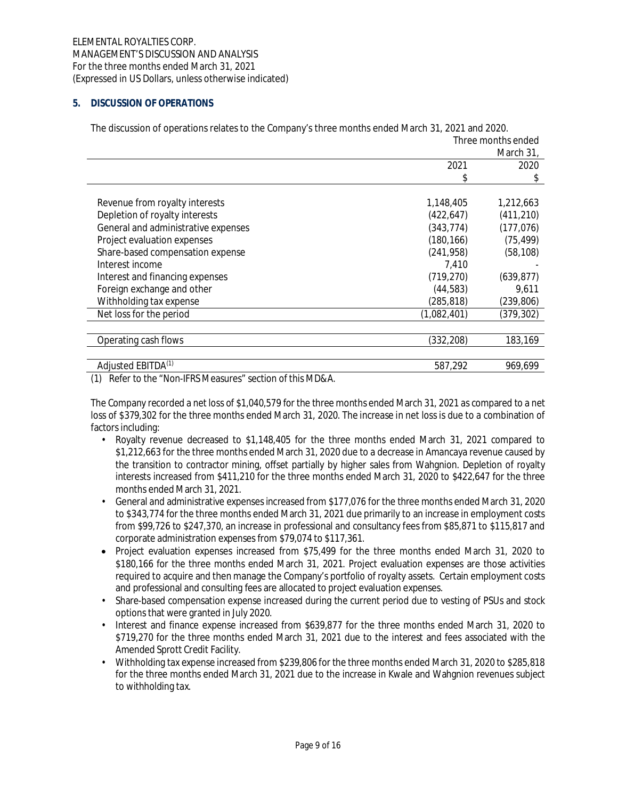# **5. DISCUSSION OF OPERATIONS**

|                                     | Three months ended |            |
|-------------------------------------|--------------------|------------|
|                                     |                    | March 31,  |
|                                     | 2021               | 2020       |
|                                     | \$                 | \$         |
|                                     |                    |            |
| Revenue from royalty interests      | 1,148,405          | 1,212,663  |
| Depletion of royalty interests      | (422, 647)         | (411, 210) |
| General and administrative expenses | (343, 774)         | (177, 076) |
| Project evaluation expenses         | (180, 166)         | (75, 499)  |
| Share-based compensation expense    | (241, 958)         | (58, 108)  |
| Interest income                     | 7.410              |            |
| Interest and financing expenses     | (719,270)          | (639, 877) |
| Foreign exchange and other          | (44, 583)          | 9,611      |
| Withholding tax expense             | (285, 818)         | (239, 806) |
| Net loss for the period             | (1,082,401)        | (379, 302) |
|                                     |                    |            |
| Operating cash flows                | (332, 208)         | 183,169    |
|                                     |                    |            |
| Adjusted EBITDA <sup>(1)</sup>      | 587,292            | 969,699    |

The discussion of operations relates to the Company's three months ended March 31, 2021 and 2020.

(1) Refer to the "Non-IFRS Measures" section of this MD&A.

The Company recorded a net loss of \$1,040,579 for the three months ended March 31, 2021 as compared to a net loss of \$379,302 for the three months ended March 31, 2020. The increase in net loss is due to a combination of factors including:

- Royalty revenue decreased to \$1,148,405 for the three months ended March 31, 2021 compared to \$1,212,663 for the three months ended March 31, 2020 due to a decrease in Amancaya revenue caused by the transition to contractor mining, offset partially by higher sales from Wahgnion. Depletion of royalty interests increased from \$411,210 for the three months ended March 31, 2020 to \$422,647 for the three months ended March 31, 2021.
- General and administrative expenses increased from \$177,076 for the three months ended March 31, 2020 to \$343,774 for the three months ended March 31, 2021 due primarily to an increase in employment costs from \$99,726 to \$247,370, an increase in professional and consultancy fees from \$85,871 to \$115,817 and corporate administration expenses from \$79,074 to \$117,361.
- · Project evaluation expenses increased from \$75,499 for the three months ended March 31, 2020 to \$180,166 for the three months ended March 31, 2021. Project evaluation expenses are those activities required to acquire and then manage the Company's portfolio of royalty assets. Certain employment costs and professional and consulting fees are allocated to project evaluation expenses.
- Share-based compensation expense increased during the current period due to vesting of PSUs and stock options that were granted in July 2020.
- Interest and finance expense increased from \$639,877 for the three months ended March 31, 2020 to \$719,270 for the three months ended March 31, 2021 due to the interest and fees associated with the Amended Sprott Credit Facility.
- Withholding tax expense increased from \$239,806 for the three months ended March 31, 2020 to \$285,818 for the three months ended March 31, 2021 due to the increase in Kwale and Wahgnion revenues subject to withholding tax.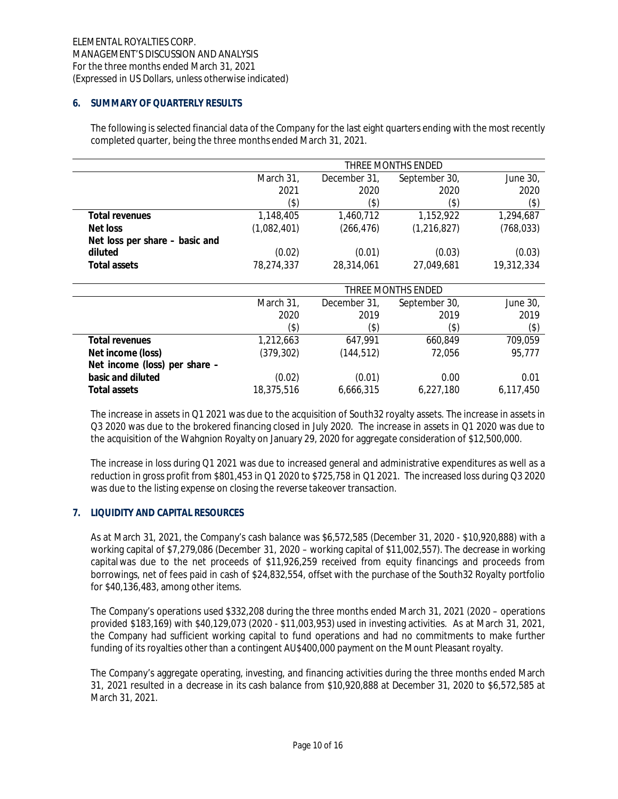# **6. SUMMARY OF QUARTERLY RESULTS**

The following is selected financial data of the Company for the last eight quarters ending with the most recently completed quarter, being the three months ended March 31, 2021.

|                                | THREE MONTHS ENDED |              |                    |            |
|--------------------------------|--------------------|--------------|--------------------|------------|
|                                | March 31,          | December 31, | September 30,      | June 30,   |
|                                | 2021               | 2020         | 2020               | 2020       |
|                                | $($ \$)            | (\$)         | (\$)               | $(\$)$     |
| Total revenues                 | 1,148,405          | 1,460,712    | 1,152,922          | 1,294,687  |
| Net loss                       | (1,082,401)        | (266, 476)   | (1, 216, 827)      | (768, 033) |
| Net loss per share – basic and |                    |              |                    |            |
| diluted                        | (0.02)             | (0.01)       | (0.03)             | (0.03)     |
| Total assets                   | 78,274,337         | 28,314,061   | 27,049,681         | 19,312,334 |
|                                |                    |              | THREE MONTHS ENDED |            |
|                                | March 31,          | December 31, | September 30,      | June 30,   |
|                                | 2020               | 2019         | 2019               | 2019       |
|                                | $($ \$)            | $($ \$)      | (\$)               | $($ \$)    |
| Total revenues                 | 1,212,663          | 647,991      | 660,849            | 709,059    |
| Net income (loss)              | (379, 302)         | (144, 512)   | 72,056             | 95,777     |
| Net income (loss) per share -  |                    |              |                    |            |
| basic and diluted              | (0.02)             | (0.01)       | 0.00               | 0.01       |
| Total assets                   | 18,375,516         | 6,666,315    | 6,227,180          | 6,117,450  |

The increase in assets in Q1 2021 was due to the acquisition of South32 royalty assets. The increase in assets in Q3 2020 was due to the brokered financing closed in July 2020. The increase in assets in Q1 2020 was due to the acquisition of the Wahgnion Royalty on January 29, 2020 for aggregate consideration of \$12,500,000.

The increase in loss during Q1 2021 was due to increased general and administrative expenditures as well as a reduction in gross profit from \$801,453 in Q1 2020 to \$725,758 in Q1 2021. The increased loss during Q3 2020 was due to the listing expense on closing the reverse takeover transaction.

#### **7. LIQUIDITY AND CAPITAL RESOURCES**

As at March 31, 2021, the Company's cash balance was \$6,572,585 (December 31, 2020 - \$10,920,888) with a working capital of \$7,279,086 (December 31, 2020 – working capital of \$11,002,557). The decrease in working capital was due to the net proceeds of \$11,926,259 received from equity financings and proceeds from borrowings, net of fees paid in cash of \$24,832,554, offset with the purchase of the South32 Royalty portfolio for \$40,136,483, among other items.

The Company's operations used \$332,208 during the three months ended March 31, 2021 (2020 – operations provided \$183,169) with \$40,129,073 (2020 - \$11,003,953) used in investing activities. As at March 31, 2021, the Company had sufficient working capital to fund operations and had no commitments to make further funding of its royalties other than a contingent AU\$400,000 payment on the Mount Pleasant royalty.

The Company's aggregate operating, investing, and financing activities during the three months ended March 31, 2021 resulted in a decrease in its cash balance from \$10,920,888 at December 31, 2020 to \$6,572,585 at March 31, 2021.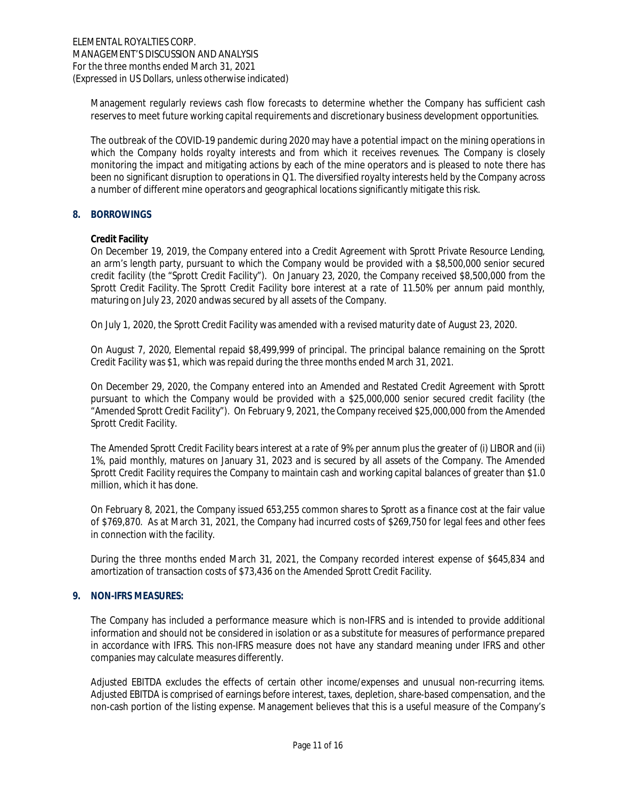Management regularly reviews cash flow forecasts to determine whether the Company has sufficient cash reserves to meet future working capital requirements and discretionary business development opportunities.

The outbreak of the COVID-19 pandemic during 2020 may have a potential impact on the mining operations in which the Company holds royalty interests and from which it receives revenues. The Company is closely monitoring the impact and mitigating actions by each of the mine operators and is pleased to note there has been no significant disruption to operations in Q1. The diversified royalty interests held by the Company across a number of different mine operators and geographical locations significantly mitigate this risk.

# **8. BORROWINGS**

# **Credit Facility**

On December 19, 2019, the Company entered into a Credit Agreement with Sprott Private Resource Lending, an arm's length party, pursuant to which the Company would be provided with a \$8,500,000 senior secured credit facility (the "Sprott Credit Facility"). On January 23, 2020, the Company received \$8,500,000 from the Sprott Credit Facility. The Sprott Credit Facility bore interest at a rate of 11.50% per annum paid monthly, maturing on July 23, 2020 and was secured by all assets of the Company.

On July 1, 2020, the Sprott Credit Facility was amended with a revised maturity date of August 23, 2020.

On August 7, 2020, Elemental repaid \$8,499,999 of principal. The principal balance remaining on the Sprott Credit Facility was \$1, which was repaid during the three months ended March 31, 2021.

On December 29, 2020, the Company entered into an Amended and Restated Credit Agreement with Sprott pursuant to which the Company would be provided with a \$25,000,000 senior secured credit facility (the "Amended Sprott Credit Facility"). On February 9, 2021, the Company received \$25,000,000 from the Amended Sprott Credit Facility.

The Amended Sprott Credit Facility bears interest at a rate of 9% per annum plus the greater of (i) LIBOR and (ii) 1%, paid monthly, matures on January 31, 2023 and is secured by all assets of the Company. The Amended Sprott Credit Facility requires the Company to maintain cash and working capital balances of greater than \$1.0 million, which it has done.

On February 8, 2021, the Company issued 653,255 common shares to Sprott as a finance cost at the fair value of \$769,870. As at March 31, 2021, the Company had incurred costs of \$269,750 for legal fees and other fees in connection with the facility.

During the three months ended March 31, 2021, the Company recorded interest expense of \$645,834 and amortization of transaction costs of \$73,436 on the Amended Sprott Credit Facility.

# **9. NON-IFRS MEASURES:**

The Company has included a performance measure which is non-IFRS and is intended to provide additional information and should not be considered in isolation or as a substitute for measures of performance prepared in accordance with IFRS. This non-IFRS measure does not have any standard meaning under IFRS and other companies may calculate measures differently.

Adjusted EBITDA excludes the effects of certain other income/expenses and unusual non-recurring items. Adjusted EBITDA is comprised of earnings before interest, taxes, depletion, share-based compensation, and the non-cash portion of the listing expense. Management believes that this is a useful measure of the Company's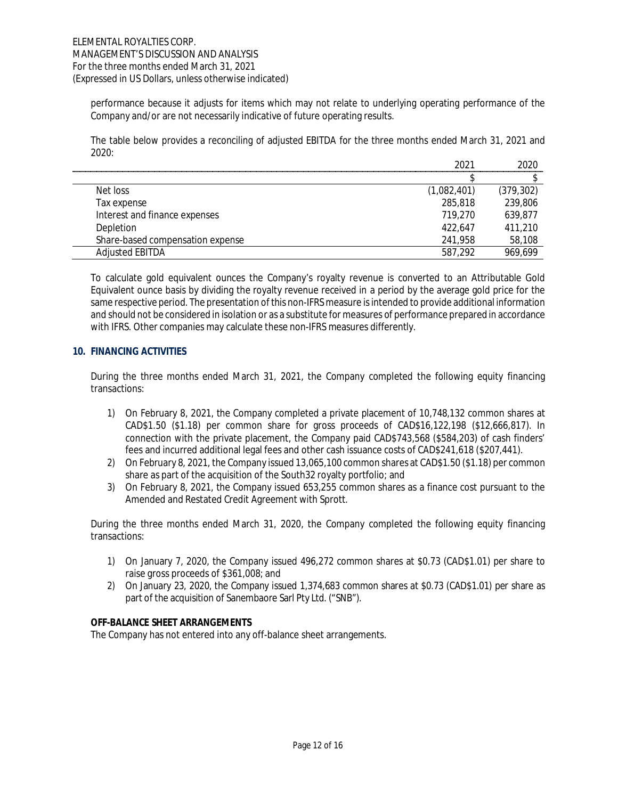performance because it adjusts for items which may not relate to underlying operating performance of the Company and/or are not necessarily indicative of future operating results.

The table below provides a reconciling of adjusted EBITDA for the three months ended March 31, 2021 and  $2020 -$ 

|                                  | 2021        | 2020       |
|----------------------------------|-------------|------------|
|                                  |             |            |
| Net loss                         | (1,082,401) | (379, 302) |
| Tax expense                      | 285,818     | 239,806    |
| Interest and finance expenses    | 719.270     | 639,877    |
| Depletion                        | 422.647     | 411,210    |
| Share-based compensation expense | 241,958     | 58,108     |
| <b>Adjusted EBITDA</b>           | 587,292     | 969,699    |

To calculate gold equivalent ounces the Company's royalty revenue is converted to an Attributable Gold Equivalent ounce basis by dividing the royalty revenue received in a period by the average gold price for the same respective period. The presentation of this non-IFRS measure is intended to provide additional information and should not be considered in isolation or as a substitute for measures of performance prepared in accordance with IFRS. Other companies may calculate these non-IFRS measures differently.

#### **10. FINANCING ACTIVITIES**

During the three months ended March 31, 2021, the Company completed the following equity financing transactions:

- 1) On February 8, 2021, the Company completed a private placement of 10,748,132 common shares at CAD\$1.50 (\$1.18) per common share for gross proceeds of CAD\$16,122,198 (\$12,666,817). In connection with the private placement, the Company paid CAD\$743,568 (\$584,203) of cash finders' fees and incurred additional legal fees and other cash issuance costs of CAD\$241,618 (\$207,441).
- 2) On February 8, 2021, the Company issued 13,065,100 common shares at CAD\$1.50 (\$1.18) per common share as part of the acquisition of the South32 royalty portfolio; and
- 3) On February 8, 2021, the Company issued 653,255 common shares as a finance cost pursuant to the Amended and Restated Credit Agreement with Sprott.

During the three months ended March 31, 2020, the Company completed the following equity financing transactions:

- 1) On January 7, 2020, the Company issued 496,272 common shares at \$0.73 (CAD\$1.01) per share to raise gross proceeds of \$361,008; and
- 2) On January 23, 2020, the Company issued 1,374,683 common shares at \$0.73 (CAD\$1.01) per share as part of the acquisition of Sanembaore Sarl Pty Ltd. ("SNB").

#### **OFF-BALANCE SHEET ARRANGEMENTS**

The Company has not entered into any off-balance sheet arrangements.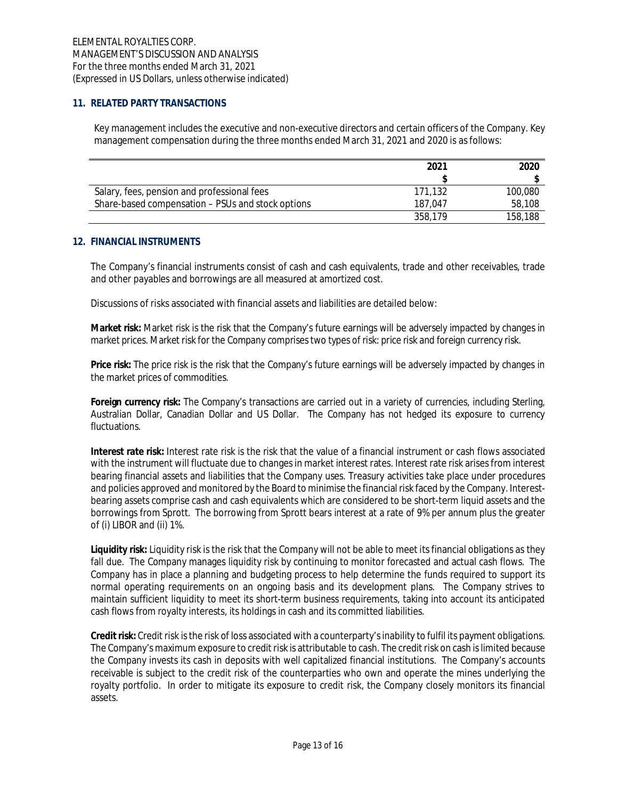# **11. RELATED PARTY TRANSACTIONS**

Key management includes the executive and non-executive directors and certain officers of the Company. Key management compensation during the three months ended March 31, 2021 and 2020 is as follows:

|                                                   | 2021    | 2020    |
|---------------------------------------------------|---------|---------|
|                                                   |         |         |
| Salary, fees, pension and professional fees       | 171.132 | 100,080 |
| Share-based compensation – PSUs and stock options | 187.047 | 58,108  |
|                                                   | 358.179 | 158,188 |

# **12. FINANCIAL INSTRUMENTS**

The Company's financial instruments consist of cash and cash equivalents, trade and other receivables, trade and other payables and borrowings are all measured at amortized cost.

Discussions of risks associated with financial assets and liabilities are detailed below:

**Market risk:** Market risk is the risk that the Company's future earnings will be adversely impacted by changes in market prices. Market risk for the Company comprises two types of risk: price risk and foreign currency risk.

**Price risk:** The price risk is the risk that the Company's future earnings will be adversely impacted by changes in the market prices of commodities.

**Foreign currency risk:** The Company's transactions are carried out in a variety of currencies, including Sterling, Australian Dollar, Canadian Dollar and US Dollar. The Company has not hedged its exposure to currency fluctuations.

**Interest rate risk:** Interest rate risk is the risk that the value of a financial instrument or cash flows associated with the instrument will fluctuate due to changes in market interest rates. Interest rate risk arises from interest bearing financial assets and liabilities that the Company uses. Treasury activities take place under procedures and policies approved and monitored by the Board to minimise the financial risk faced by the Company. Interestbearing assets comprise cash and cash equivalents which are considered to be short-term liquid assets and the borrowings from Sprott. The borrowing from Sprott bears interest at a rate of 9% per annum plus the greater of (i) LIBOR and (ii) 1%.

**Liquidity risk:** Liquidity risk is the risk that the Company will not be able to meet its financial obligations as they fall due. The Company manages liquidity risk by continuing to monitor forecasted and actual cash flows. The Company has in place a planning and budgeting process to help determine the funds required to support its normal operating requirements on an ongoing basis and its development plans. The Company strives to maintain sufficient liquidity to meet its short-term business requirements, taking into account its anticipated cash flows from royalty interests, its holdings in cash and its committed liabilities.

**Credit risk:** Credit risk is the risk of loss associated with a counterparty's inability to fulfil its payment obligations. The Company's maximum exposure to credit risk is attributable to cash. The credit risk on cash is limited because the Company invests its cash in deposits with well capitalized financial institutions. The Company's accounts receivable is subject to the credit risk of the counterparties who own and operate the mines underlying the royalty portfolio. In order to mitigate its exposure to credit risk, the Company closely monitors its financial assets.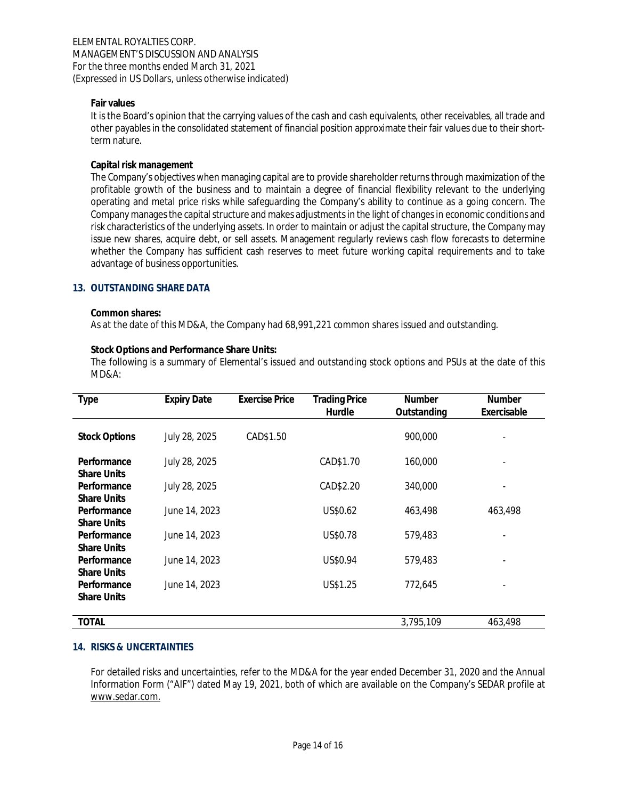#### **Fair values**

It is the Board's opinion that the carrying values of the cash and cash equivalents, other receivables, all trade and other payables in the consolidated statement of financial position approximate their fair values due to their shortterm nature.

# **Capital risk management**

The Company's objectives when managing capital are to provide shareholder returns through maximization of the profitable growth of the business and to maintain a degree of financial flexibility relevant to the underlying operating and metal price risks while safeguarding the Company's ability to continue as a going concern. The Company manages the capital structure and makes adjustments in the light of changes in economic conditions and risk characteristics of the underlying assets. In order to maintain or adjust the capital structure, the Company may issue new shares, acquire debt, or sell assets. Management regularly reviews cash flow forecasts to determine whether the Company has sufficient cash reserves to meet future working capital requirements and to take advantage of business opportunities.

# **13. OUTSTANDING SHARE DATA**

#### **Common shares:**

As at the date of this MD&A, the Company had 68,991,221 common shares issued and outstanding.

# **Stock Options and Performance Share Units:**

The following is a summary of Elemental's issued and outstanding stock options and PSUs at the date of this MD&A:

| <b>Type</b>          | <b>Expiry Date</b> | <b>Exercise Price</b> | <b>Trading Price</b><br>Hurdle | <b>Number</b><br>Outstanding | Number<br>Exercisable |
|----------------------|--------------------|-----------------------|--------------------------------|------------------------------|-----------------------|
|                      |                    |                       |                                |                              |                       |
| <b>Stock Options</b> | July 28, 2025      | CAD\$1.50             |                                | 900,000                      |                       |
| Performance          | July 28, 2025      |                       | CAD\$1.70                      | 160,000                      |                       |
| <b>Share Units</b>   |                    |                       |                                |                              |                       |
| Performance          | July 28, 2025      |                       | CAD\$2.20                      | 340,000                      |                       |
| <b>Share Units</b>   |                    |                       |                                |                              |                       |
| Performance          | June 14, 2023      |                       | US\$0.62                       | 463,498                      | 463,498               |
| <b>Share Units</b>   |                    |                       |                                |                              |                       |
| Performance          | June 14, 2023      |                       | US\$0.78                       | 579,483                      |                       |
| <b>Share Units</b>   |                    |                       |                                |                              |                       |
| Performance          | June 14, 2023      |                       | US\$0.94                       | 579,483                      |                       |
| <b>Share Units</b>   |                    |                       |                                |                              |                       |
| Performance          | June 14, 2023      |                       | US\$1.25                       | 772,645                      |                       |
| <b>Share Units</b>   |                    |                       |                                |                              |                       |
|                      |                    |                       |                                |                              |                       |
| <b>TOTAL</b>         |                    |                       |                                | 3,795,109                    | 463,498               |

# **14. RISKS & UNCERTAINTIES**

For detailed risks and uncertainties, refer to the MD&A for the year ended December 31, 2020 and the Annual Information Form ("AIF") dated May 19, 2021, both of which are available on the Company's SEDAR profile at www.sedar.com.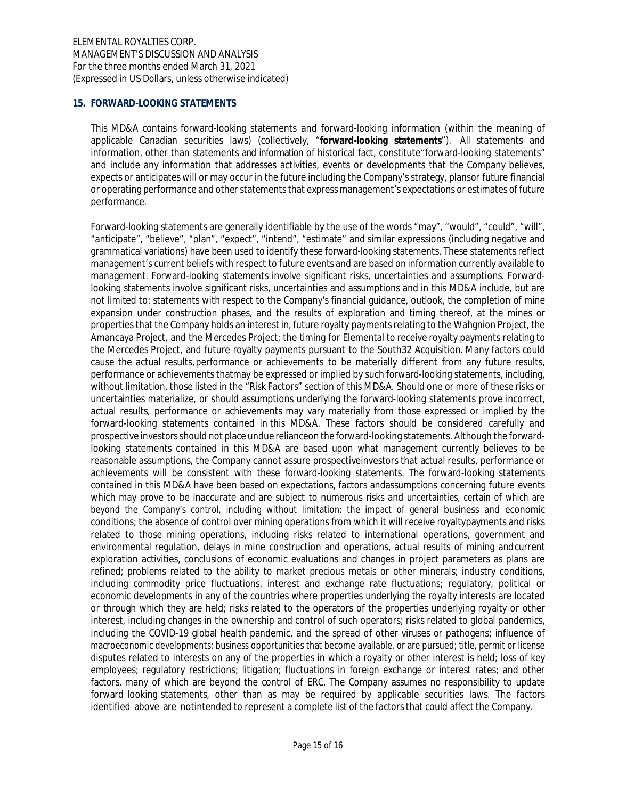# **15. FORWARD-LOOKING STATEMENTS**

This MD&A contains forward-looking statements and forward-looking information (within the meaning of applicable Canadian securities laws) (collectively, "**forward-looking statements**"). All statements and information, other than statements and information of historical fact, constitute "forward-looking statements" and include any information that addresses activities, events or developments that the Company believes, expects or anticipates will or may occur in the future including the Company's strategy, plansor future financial or operating performance and other statements that express management's expectations or estimates of future performance.

Forward-looking statements are generally identifiable by the use of the words "may", "would", "could", "will", "anticipate", "believe", "plan", "expect", "intend", "estimate" and similar expressions (including negative and grammatical variations) have been used to identify these forward-looking statements. These statements reflect management's current beliefs with respect to future events and are based on information currently available to management. Forward-looking statements involve significant risks, uncertainties and assumptions. Forwardlooking statements involve significant risks, uncertainties and assumptions and in this MD&A include, but are not limited to: statements with respect to the Company's financial guidance, outlook, the completion of mine expansion under construction phases, and the results of exploration and timing thereof, at the mines or properties that the Company holds an interest in, future royalty payments relating to the Wahgnion Project, the Amancaya Project, and the Mercedes Project; the timing for Elemental to receive royalty payments relating to the Mercedes Project, and future royalty payments pursuant to the South32 Acquisition. Many factors could cause the actual results, performance or achievements to be materially different from any future results, performance or achievements that may be expressed or implied by such forward-looking statements, including, without limitation, those listed in the "Risk Factors" section of this MD&A. Should one or more of these risks or uncertainties materialize, or should assumptions underlying the forward-looking statements prove incorrect, actual results, performance or achievements may vary materially from those expressed or implied by the forward-looking statements contained in this MD&A. These factors should be considered carefully and prospective investors should not place undue relianceon the forward-looking statements. Although the forwardlooking statements contained in this MD&A are based upon what management currently believes to be reasonable assumptions, the Company cannot assure prospective investors that actual results, performance or achievements will be consistent with these forward-looking statements. The forward-looking statements contained in this MD&A have been based on expectations, factors andassumptions concerning future events which may prove to be inaccurate and are subject to numerous risks and uncertainties, certain of which are beyond the Company's control, including without limitation: the impact of general business and economic conditions; the absence of control over mining operations from which it will receive royalty payments and risks related to those mining operations, including risks related to international operations, government and environmental regulation, delays in mine construction and operations, actual results of mining and current exploration activities, conclusions of economic evaluations and changes in project parameters as plans are refined; problems related to the ability to market precious metals or other minerals; industry conditions, including commodity price fluctuations, interest and exchange rate fluctuations; regulatory, political or economic developments in any of the countries where properties underlying the royalty interests are located or through which they are held; risks related to the operators of the properties underlying royalty or other interest, including changes in the ownership and control of such operators; risks related to global pandemics, including the COVID-19 global health pandemic, and the spread of other viruses or pathogens; influence of macroeconomic developments; business opportunities that become available, or are pursued; title, permit or license disputes related to interests on any of the properties in which a royalty or other interest is held; loss of key employees; regulatory restrictions; litigation; fluctuations in foreign exchange or interest rates; and other factors, many of which are beyond the control of ERC. The Company assumes no responsibility to update forward looking statements, other than as may be required by applicable securities laws. The factors identified above are notintended to represent a complete list of the factors that could affect the Company.